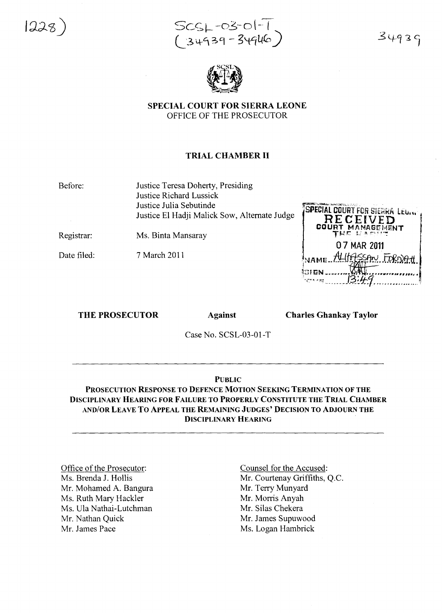



 $34939$ 



SPECIAL COURT FOR SIERRA LEONE OFFICE OF THE PROSECUTOR

## TRIAL CHAMBER II

Before:

Justice Teresa Doherty, Presiding Justice Richard Lussick Justice Julia Sebutinde Justice El Hadji Malick Sow, Alternate Judge

Registrar:

Ms. Binta Mansaray

Date filed:

7 March 2011

SPECIAL COURT FOR SIERRA LEU... RECEI **MANAGEMENT** 07 MAR 2011  $AL$ ltASSAN FORN ~''''' ~~..J:!'"'WLJ .. **• • • • • • • • • ,** <sup>i</sup>*•••••••" ••••• <sup>I</sup> ••• <sup>A</sup>* <sup>I</sup>'  $13:49$ 

THE PROSECUTOR Against

Charles Ghankay Taylor

Case No. SCSL-03-01-T

## PUBLIC

PROSECUTION RESPONSE TO DEFENCE MOTION SEEKING TERMINATION OF THE DISCIPLINARY HEARING FOR FAILURE TO PROPERLY CONSTITUTE THE TRIAL CHAMBER AND/OR LEAVE To ApPEAL THE REMAINING JUDGES' DECISION TO ADJOURN THE DISCIPLINARY HEARING

Office of the Prosecutor: Ms. Brenda J. Hollis Mr. Mohamed A. Bangura Ms. Ruth Mary Hackler Ms. Ula Nathai-Lutchman Mr. Nathan Quick Mr. James Pace

Counsel for the Accused: Mr. Courtenay Griffiths, Q.C. Mr. Terry Munyard Mr. Morris Anyah Mr. Silas Chekera Mr. James Supuwood Ms. Logan Hambrick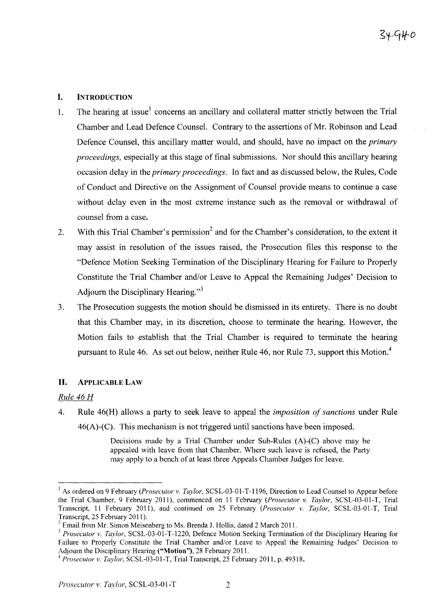# I. INTRODUCTION

- 1. The hearing at issue<sup>1</sup> concerns an ancillary and collateral matter strictly between the Trial Chamber and Lead Defence Counsel. Contrary to the assertions of Mr. Robinson and Lead Defence Counsel, this ancillary matter would, and should, have no impact on the *primary proceedings,* especially at this stage of final submissions. Nor should this ancillary hearing occasion delay in the *primary proceedings.* In fact and as discussed below, the Rules, Code of Conduct and Directive on the Assignment of Counsel provide means to continue a case without delay even in the most extreme instance such as the removal or withdrawal of counsel from a case.
- 2. With this Trial Chamber's permission<sup>2</sup> and for the Chamber's consideration, to the extent it may assist in resolution of the issues raised, the Prosecution files this response to the "Defence Motion Seeking Termination of the Disciplinary Hearing for Failure to Properly Constitute the Trial Chamber and/or Leave to Appeal the Remaining Judges' Decision to Adjourn the Disciplinary Hearing." $3$
- 3. The Prosecution suggests the motion should be dismissed in its entirety. There is no doubt that this Chamber may, in its discretion, choose to terminate the hearing. However, the Motion fails to establish that the Trial Chamber is required to terminate the hearing pursuant to Rule 46. As set out below, neither Rule 46, nor Rule 73, support this Motion.<sup>4</sup>

# **II.** ApPLICABLE LAW

# *Rule* 46 *H*

4. Rule 46(H) allows a party to seek leave to appeal the *imposition of sanctions* under Rule 46(A)-(C). This mechanism is not triggered until sanctions have been imposed.

> Decisions made by a Trial Chamber under Sub-Rules (A)-(C) above may be appealed with leave from that Chamber. Where such leave is refused, the Party may apply to a bench of at least three Appeals Chamber Judges for leave.

<sup>&</sup>lt;sup>1</sup> As ordered on 9 February *(Prosecutor v. Taylor,* SCSL-03-01-T-1196, Direction to Lead Counsel to Appear before the Trial Chamber, 9 February 2011), commenced on 11 February *(Prosecutor* v. *Taylor,* SCSL-03-01-T, Trial Transcript, 11 February 2011), and continued on 25 February *(Prosecutor* v. *Taylor,* SCSL-03-01-T, Trial Transcript, 25 February 2011).

 $2^2$  Email from Mr. Simon Meisenberg to Ms. Brenda J. Hollis, dated 2 March 2011.

*<sup>3</sup> Prosecutor* v. *Taylor,* SCSL-03-01-T-1220, Defence Motion Seeking Termination of the Disciplinary Hearing for Failure to Properly Constitute the Trial Chamber and/or Leave to Appeal the Remaining Judges' Decision to Adjourn the Disciplinary Hearing ("Motion"), 28 February 2011.

*<sup>4</sup> Prosecutor* v. *Taylor,* SCSL-03-01-T, Trial Transcript, 25 February 2011, p. 49318.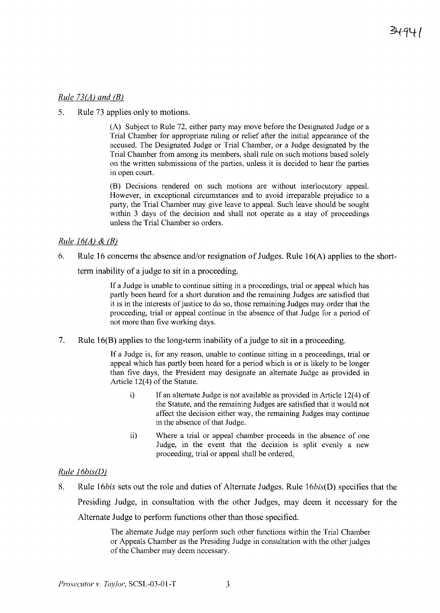## *Rule 73(A) and* (B)

5. Rule 73 applies only to motions.

(A) Subject to Rule 72, either party may move before the Designated Judge or a Trial Chamber for appropriate ruling or relief after the initial appearance of the accused. The Designated Judge or Trial Chamber, or a Judge designated by the Trial Chamber from among its members, shall rule on such motions based solely on the written submissions of the parties, unless it is decided to hear the parties in open court.

(B) Decisions rendered on such motions are without interlocutory appeal. However, in exceptional circumstances and to avoid irreparable prejudice to a party, the Trial Chamber may give leave to appeal. Such leave should be sought within 3 days of the decision and shall not operate as a stay of proceedings unless the Trial Chamber so orders.

## *Rule 16(A)* & (B)

6. Rule 16 concerns the absence and/or resignation of Judges. Rule  $16(A)$  applies to the short-

term inability of a judge to sit in a proceeding.

If a Judge is unable to continue sitting in a proceedings, trial or appeal which has partly been heard for a short duration and the remaining Judges are satisfied that it is in the interests of justice to do so, those remaining Judges may order that the proceeding, trial or appeal continue in the absence of that Judge for a period of not more than five working days.

7. Rule 16(B) applies to the long-term inability of a judge to sit in a proceeding.

If a Judge is, for any reason, unable to continue sitting in a proceedings, trial or appeal which has partly been heard for a period which is or is likely to be longer than five days, the President may designate an alternate Judge as provided in Article  $12(4)$  of the Statute.

- i) If an alternate Judge is not available as provided in Article 12(4) of the Statute, and the remaining Judges are satisfied that it would not affect the decision either way, the remaining Judges may continue in the absence of that Judge.
- ii) Where a trial or appeal chamber proceeds in the absence of one Judge, in the event that the decision is split evenly a new proceeding, trial or appeal shall be ordered,

# *Rule 16bis(D)*

8. Rule *l6bis* sets out the role and duties of Alternate Judges. Rule *16bis(D)* specifies that the Presiding Judge, in consultation with the other Judges, may deem it necessary for the Alternate Judge to perform functions other than those specified.

> The alternate Judge may perform such other functions within the Trial Chamber or Appeals Chamber as the Presiding Judge in consultation with the other judges of the Chamber may deem necessary.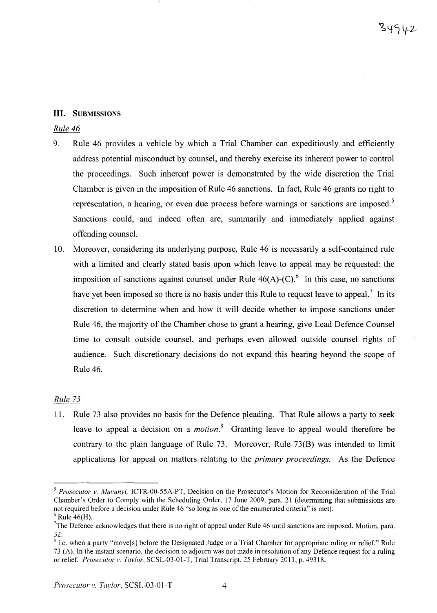## **III.** SUBMISSIONS

## *Rule 46*

- 9. Rule 46 provides a vehicle by which a Trial Chamber can expeditiously and efficiently address potential misconduct by counsel, and thereby exercise its inherent power to control the proceedings. Such inherent power is demonstrated by the wide discretion the Trial Chamber is given in the imposition of Rule 46 sanctions. In fact, Rule 46 grants no right to representation, a hearing, or even due process before warnings or sanctions are imposed.<sup>5</sup> Sanctions could, and indeed often are, summarily and immediately applied against offending counsel.
- 10. Moreover, considering its underlying purpose, Rule 46 is necessarily a self-contained rule with a limited and clearly stated basis upon which leave to appeal may be requested: the imposition of sanctions against counsel under Rule  $46(A)$ -(C).<sup>6</sup> In this case, no sanctions have yet been imposed so there is no basis under this Rule to request leave to appeal.<sup>7</sup> In its discretion to determine when and how it will decide whether to impose sanctions under Rule 46, the majority of the Chamber chose to grant a hearing, give Lead Defence Counsel time to consult outside counsel, and perhaps even allowed outside counsel rights of audience. Such discretionary decisions do not expand this hearing beyond the scope of Rule 46.

# *Rule 73*

11. Rule 73 also provides no basis for the Defence pleading. That Rule allows a party to seek leave to appeal a decision on a *motion*.<sup>8</sup> Granting leave to appeal would therefore be contrary to the plain language of Rule 73. Moreover, Rule 73(B) was intended to limit applications for appeal on matters relating to the *primary proceedings.* As the Defence

*<sup>5</sup> Prosecutor v. Muvunyi,* ICTR-00-55A-PT, Decision on the Prosecutor's Motion for Reconsideration of the Trial Chamber's Order to Comply with the Scheduling Order, 17 June 2009, para. 21 (determining that submissions are not required before a decision under Rule 46 "so long as one of the enumerated criteria" is met).  $6$  Rule 46(H).

<sup>&</sup>lt;sup>7</sup>The Defence acknowledges that there is no right of appeal under Rule 46 until sanctions are imposed. Motion, para. 32.

 $s$  i.e. when a party "move[s] before the Designated Judge or a Trial Chamber for appropriate ruling or relief." Rule 73 (A). In the instant scenario, the decision to adjourn was not made in resolution of any Defence request for a ruling or relief. Prosecutor v. Taylor, SCSL-03-01-T, Trial Transcript, 25 February 2011, p. 49318.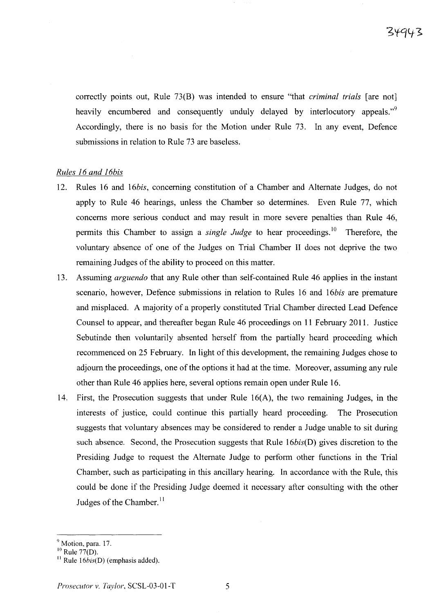correctly points out, Rule 73(B) was intended to ensure "that *criminal trials* [are not] heavily encumbered and consequently unduly delayed by interlocutory appeals."<sup>9</sup> Accordingly, there is no basis for the Motion under Rule 73. In any event, Defence submissions in relation to Rule 73 are baseless.

## *Rules* 16 *and 16bis*

- 12. Rules 16 and *l6bis,* concerning constitution of a Chamber and Alternate Judges, do not apply to Rule 46 hearings, unless the Chamber so determines. Even Rule 77, which concerns more serious conduct and may result in more severe penalties than Rule 46, permits this Chamber to assign a *single Judge* to hear proceedings." Therefore, the voluntary absence of one of the Judges on Trial Chamber II does not deprive the two remaining Judges of the ability to proceed on this matter.
- 13. Assuming *arguendo* that any Rule other than self-contained Rule 46 applies in the instant scenario, however, Defence submissions in relation to Rules 16 and *l6bis* are premature and misplaced. A majority of a properly constituted Trial Chamber directed Lead Defence Counsel to appear, and thereafter began Rule 46 proceedings on 11 February 2011. Justice Sebutinde then voluntarily absented herself from the partially heard proceeding which recommenced on 25 February. In light of this development, the remaining Judges chose to adjourn the proceedings, one of the options it had at the time. Moreover, assuming any rule other than Rule 46 applies here, several options remain open under Rule 16.
- 14. First, the Prosecution suggests that under Rule 16(A), the two remaining Judges, in the interests of justice, could continue this partially heard proceeding. The Prosecution suggests that voluntary absences may be considered to render a Judge unable to sit during such absence. Second, the Prosecution suggests that Rule *16bis(D)* gives discretion to the Presiding Judge to request the Alternate Judge to perform other functions in the Trial Chamber, such as participating in this ancillary hearing. In accordance with the Rule, this could be done if the Presiding Judge deemed it necessary after consulting with the other Judges of the Chamber.<sup> $11$ </sup>

<sup>&</sup>lt;sup>9</sup> Motion, para. 17.

 $^{10}$  Rule 77(D).

 $\frac{11}{2}$  Rule 16*bis(D)* (emphasis added).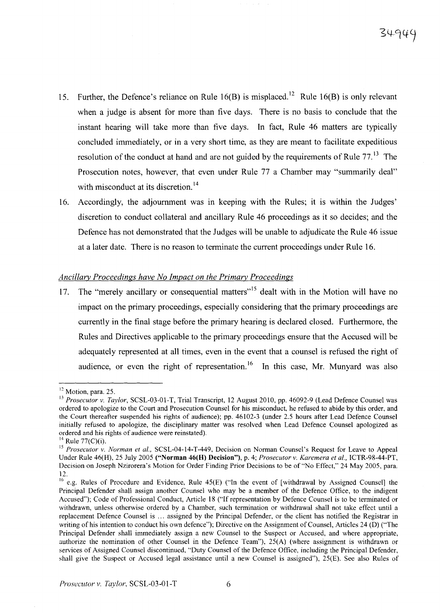- 15. Further, the Defence's reliance on Rule 16(B) is misplaced.<sup>12</sup> Rule 16(B) is only relevant when a judge is absent for more than five days. There is no basis to conclude that the instant hearing will take more than five days. In fact, Rule 46 matters are typically concluded immediately, or in a very short time, as they are meant to facilitate expeditious resolution of the conduct at hand and are not guided by the requirements of Rule  $77<sup>13</sup>$ . The Prosecution notes, however, that even under Rule 77 a Chamber may "summarily deal" with misconduct at its discretion.<sup>14</sup>
- 16. Accordingly, the adjournment was in keeping with the Rules; it is within the Judges' discretion to conduct collateral and ancillary Rule 46 proceedings as it so decides; and the Defence has not demonstrated that the Judges will be unable to adjudicate the Rule 46 issue at a later date. There is no reason to terminate the current proceedings under Rule 16.

## *Ancillary Proceedings have No Impact on the Primary Proceedings*

17. The "merely ancillary or consequential matters"<sup>15</sup> dealt with in the Motion will have no impact on the primary proceedings, especially considering that the primary proceedings are currently in the final stage before the primary hearing is declared closed. Furthermore, the Rules and Directives applicable to the primary proceedings ensure that the Accused will be adequately represented at all times, even in the event that a counsel is refused the right of audience, or even the right of representation.<sup>16</sup> In this case, Mr. Munyard was also

<sup>&</sup>lt;sup>12</sup> Motion, para. 25.

<sup>&</sup>lt;sup>13</sup> *Prosecutor v. Taylor*, SCSL-03-01-T, Trial Transcript, 12 August 2010, pp. 46092-9 (Lead Defence Counsel was ordered to apologize to the Court and Prosecution Counsel for his misconduct, he refused to abide by this order, and the Court thereafter suspended his rights of audience); pp. 46102-3 (under 2.5 hours after Lead Defence Counsel initially refused to apologize, the disciplinary matter was resolved when Lead Defence Counsel apologized as ordered and his rights of audience were reinstated).

 $^{14}$  Rule 77(C)(i).

<sup>15</sup> *Prosecutor* v. *Norman et al.,* SCSL-04-14-T-449, Decision on Norman Counsel's Request for Leave to Appeal Under Rule 46(H), 25 July 2005 ("Norman 46(H) Decision"), p. 4; *Prosecutor* v. *Karemera et al..* ICTR-98-44-PT, Decision on Joseph Nzirorera's Motion for Order Finding Prior Decisions to be of "No Effect," 24 May 2005, para. 12.

<sup>&</sup>lt;sup>16</sup> e.g. Rules of Procedure and Evidence, Rule  $45(E)$  ("In the event of [withdrawal by Assigned Counsel] the Principal Defender shall assign another Counsel who may be a member of the Defence Office, to the indigent Accused"); Code of Professional Conduct, Article 18 ("If representation by Defence Counsel is to be terminated or withdrawn, unless otherwise ordered by a Chamber, such termination or withdrawal shall not take effect until a replacement Defence Counsel is ... assigned by the Principal Defender, or the client has notified the Registrar in writing of his intention to conduct his own defence"); Directive on the Assignment of Counsel, Articles 24 (D) ("The Principal Defender shall immediately assign a new Counsel to the Suspect or Accused, and where appropriate, authorize the nomination of other Counsel in the Defence Team"), 25(A) (where assignment is withdrawn or services of Assigned Counsel discontinued, "Duty Counsel of the Defence Office, including the Principal Defender, shall give the Suspect or Accused legal assistance until a new Counsel is assigned"), 25(E). See also Rules of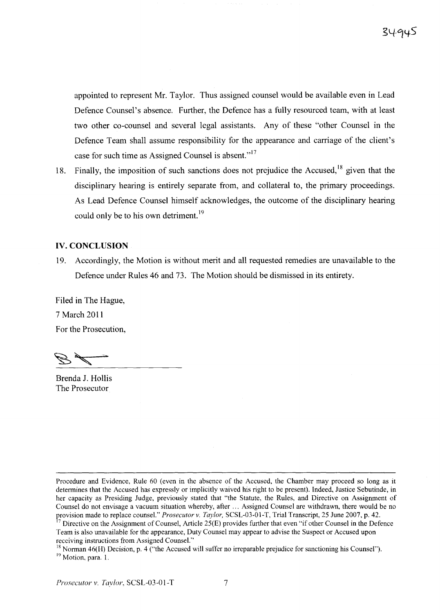appointed to represent Mr. Taylor. Thus assigned counsel would be available even in Lead Defence Counsel's absence. Further, the Defence has a fully resourced team, with at least two other co-counsel and several legal assistants. Any of these "other Counsel in the Defence Team shall assume responsibility for the appearance and carriage of the client's case for such time as Assigned Counsel is absent."<sup>17</sup>

18. Finally, the imposition of such sanctions does not prejudice the Accused,  $18$  given that the disciplinary hearing is entirely separate from, and collateral to, the primary proceedings. As Lead Defence Counsel himself acknowledges, the outcome of the disciplinary hearing could only be to his own detriment.<sup>19</sup>

#### **IV. CONCLUSION**

19. Accordingly, the Motion is without merit and all requested remedies are unavailable to the Defence under Rules 46 and 73. The Motion should be dismissed in its entirety.

Filed in The Hague, 7 March 2011 For the Prosecution,

Brenda J. Hollis The Prosecutor

Procedure and Evidence, Rule 60 (even in the absence of the Accused, the Chamber may proceed so long as it determines that the Accused has expressly or implicitly waived his right to be present). Indeed, Justice Sebutinde, in her capacity as Presiding Judge, previously stated that "the Statute, the Rules, and Directive on Assignment of Counsel do not envisage a vacuum situation whereby, after ... Assigned Counsel are withdrawn, there would be no provision made to replace counsel." *Prosecutor v. Taylor,* SCSL-03-01-T, Trial Transcript, 25 June 2007, p. 42.

<sup>&</sup>lt;sup>17</sup> Directive on the Assignment of Counsel, Article 25(E) provides further that even "if other Counsel in the Defence Team is also unavailable for the appearance, Duty Counsel may appear to advise the Suspect or Accused upon receiving instructions from Assigned Counsel."

<sup>&</sup>lt;sup>18</sup> Norman 46(H) Decision, p. 4 ("the Accused will suffer no irreparable prejudice for sanctioning his Counsel"). <sup>19</sup> Motion, para. 1.